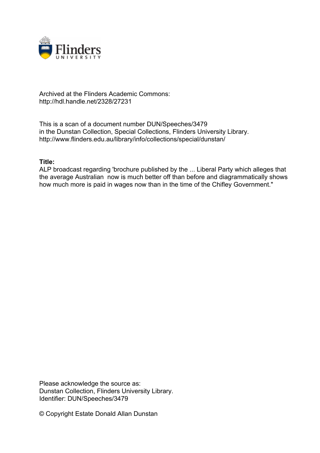

## Archived at the Flinders Academic Commons: http://hdl.handle.net/2328/27231

This is a scan of a document number DUN/Speeches/3479 in the Dunstan Collection, Special Collections, Flinders University Library. http://www.flinders.edu.au/library/info/collections/special/dunstan/

## **Title:**

ALP broadcast regarding 'brochure published by the ... Liberal Party which alleges that the average Australian now is much better off than before and diagrammatically shows how much more is paid in wages now than in the time of the Chifley Government."

Please acknowledge the source as: Dunstan Collection, Flinders University Library. Identifier: DUN/Speeches/3479

© Copyright Estate Donald Allan Dunstan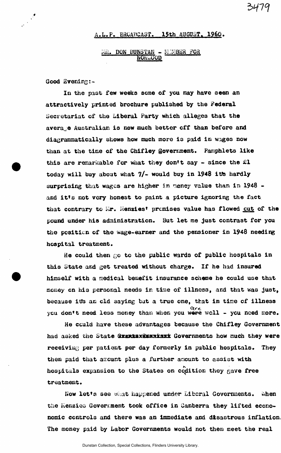## A**.L.P. BROADCAST. 15th AUGUST. I960,**

## $\widehat{\text{M}}$ **. DON BUNSTAN - MINBER FOR MOKtaUOD**

**Good Evening; -**

**treatment.** 

**In the past few weeks seme of you may have seen an attractively printed brochure published by the Federal Secretariat of the Liberal Party which alleges that the average Australian la now much better off than before and diagrammatically shows how much more is paid in wages now than at the time of the Chifley govemnent. Pamphlets like this are remarkable for what they don't say - since the £1 today will buy about what 7/- would buy in 1948 itte hardly surprising that wages are higher in naney value than in 1948**  and it's not very honest to paint a picture ignoring the fact that contrary to Mr. Menzies<sup>t</sup> premises value has flowed cut of the **pound under his administration. But let me just contrast for you the position of the wage-earner and the pensioner in 1948 needing hospital treatment.** 

**He could then** *QQ* **to the public wards of public hospitals in this State and get treated without charge. If he had insured himself with a medical benefit insurance scheme he could use that money on his personal needs in time of illness, and that was just,**  because it's an old saying but a true one, that in time of illness you don't need less money than when you were woll - you need more.

**He cculd have these advantages because the Chifley Government**  had asked the State GrantaxSammisxx Governments how much they were **receiving per patient per day formerly in public hospitals. They then paid that amount plus a further anount to assist with N** , , **hospitals expansion to the States on coalition they gave free**  treatment.

 $when$ **Now let's see what happened under Liberal Governments. ««hen the E'ienziea Goveroaent took office in Canberra they lifted econonomic controls and there was an immediate and disastrous inflation, The money paid by Labor Governments would not then meet the real**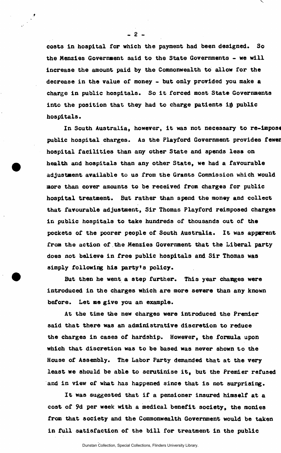**costs in hospital for which the payment had been designed. So the Menzies Government said to the State Governments - we will increase the amount paid by the Commonwealth to allow for the decrease in the value of money - but only provided you make a charge in public hospitals. So it forced most State Governments**  into the position that they had to charge patients in public **hospitals.** 

**In South Australia, however, it was not necessary to re-impost public hospital charges. As the Playford Government provides fewer hospital facilities than any other State and spends less on health and hospitals than any other State, we had a favourable adjustment available to us from the Grants Commission which would more than cover amounts to be received from charges for public hospital treatment. But rather than spend the money and collect that favourable adjustment, Sir Thomas Playford reimposed charges in public hospitals to take hundreds of thousands out of the pockets of the poorer people of South Australia. It was apparent from the action of the Menzies Government that the Liberal party does not believe in free public hospitals and Sir Thomas was simply following his party's policy.** 

**But then he went a step further. This year changes were introduced in the charges which are more severe than any known before. Let me give you an example.** 

**At the time the new charges were introduced the Premier said that there was an administrative discretion to reduce the charges in cases of hardship. However, the formula upon which that discretion was to be based was never shown to the House of Assembly. The Labor Party demanded that at the very least we should be able to scrutinise it, but the Premier refused and in view of what has happened since that is not surprising.** 

**It was suggested that if a pensioner insured himself at a cost of 9d per week with a medical benefit society, the monies from that society and the Commonwealth Government would be taken in full satisfaction of the bill for treatment in the public** 

 $-2-$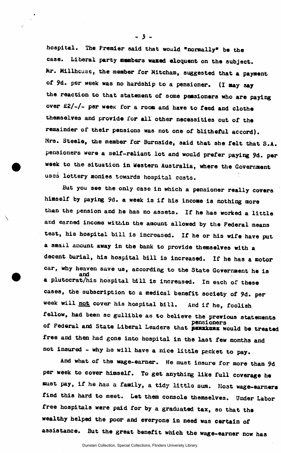**hospital. The Premier said that would "normally" be the**  case. Liberal party mumbers waxed eloquent on the subject. **Mr. Millhcaae, the member for Mitcham, suggested that a payment of 9d. per week was no hardship to a pensioner. (I may say the reaction to that statement of some pemsioners who are paying**  over £2/-/- per week for a room and have to feed and clothe **themselves and provide for all other necessities out of the remainder of their pensions was not one of blitheful accord). Mrs. Steele, the member for Burnside, said that she felt that S.A. pensioners were a self-reliant lot and would prefer paying 9d. per week to the situation in western Australia, where the Government uses lottery monies towards hospital coats.** 

**But you see the only case in which a pensioner really covers himself by paying 9d. a week is if his income is nothing more than the pension and he has no assets. If he has worked a little and earned income within the amount allowed by the Federal means test, his hospital bill is increased. If he or his wife have put a small amount away in the bank to provide themselves with a decent burial, his hospital bill is increased. If he has a motor car, why heaven save us, according to the State Government he is and a plutocrat/his hospital bill is increased. In each of these cases, the subscription to a medical benefit society of 9d. per week will not cover his hospital bill. And if he, foolish fellow, had been so gullible as to believe the previous statements**  of Federal and State Liberal Leaders that **penzkunz** would be treated **free and then had gone into hospital in the last few months and not insured - why he will have a nice little packet to pay.** 

**And what of the wage-earner. He must insure for more than 9d per week to cover himself. To get anything like full coverage he must pay, if he has a family, a tidy little sum. Most wage-earners find this hard to meet. Let them console themselves. Under Labor free hospitals were paid for by a graduated tax, so that the wealthy helped the poor and everyone in need was certain of assistance. But the great benefit which the wage-earner now has** 

Dunstan Collection, Special Collections, Flinders University Library.

 $-3 -$